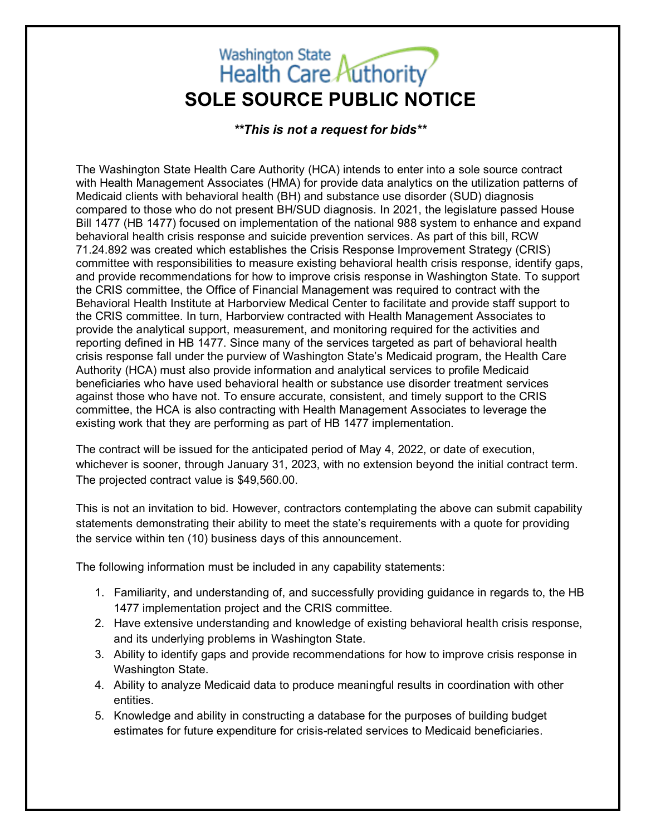## Washington State<br>Health Care Authority **SOLE SOURCE PUBLIC NOTICE**

*\*\*This is not a request for bids\*\**

The Washington State Health Care Authority (HCA) intends to enter into a sole source contract with Health Management Associates (HMA) for provide data analytics on the utilization patterns of Medicaid clients with behavioral health (BH) and substance use disorder (SUD) diagnosis compared to those who do not present BH/SUD diagnosis. In 2021, the legislature passed House Bill 1477 (HB 1477) focused on implementation of the national 988 system to enhance and expand behavioral health crisis response and suicide prevention services. As part of this bill, RCW 71.24.892 was created which establishes the Crisis Response Improvement Strategy (CRIS) committee with responsibilities to measure existing behavioral health crisis response, identify gaps, and provide recommendations for how to improve crisis response in Washington State. To support the CRIS committee, the Office of Financial Management was required to contract with the Behavioral Health Institute at Harborview Medical Center to facilitate and provide staff support to the CRIS committee. In turn, Harborview contracted with Health Management Associates to provide the analytical support, measurement, and monitoring required for the activities and reporting defined in HB 1477. Since many of the services targeted as part of behavioral health crisis response fall under the purview of Washington State's Medicaid program, the Health Care Authority (HCA) must also provide information and analytical services to profile Medicaid beneficiaries who have used behavioral health or substance use disorder treatment services against those who have not. To ensure accurate, consistent, and timely support to the CRIS committee, the HCA is also contracting with Health Management Associates to leverage the existing work that they are performing as part of HB 1477 implementation.

The contract will be issued for the anticipated period of May 4, 2022, or date of execution, whichever is sooner, through January 31, 2023, with no extension beyond the initial contract term. The projected contract value is \$49,560.00.

This is not an invitation to bid. However, contractors contemplating the above can submit capability statements demonstrating their ability to meet the state's requirements with a quote for providing the service within ten (10) business days of this announcement.

The following information must be included in any capability statements:

- 1. Familiarity, and understanding of, and successfully providing guidance in regards to, the HB 1477 implementation project and the CRIS committee.
- 2. Have extensive understanding and knowledge of existing behavioral health crisis response, and its underlying problems in Washington State.
- 3. Ability to identify gaps and provide recommendations for how to improve crisis response in Washington State.
- 4. Ability to analyze Medicaid data to produce meaningful results in coordination with other entities.
- 5. Knowledge and ability in constructing a database for the purposes of building budget estimates for future expenditure for crisis-related services to Medicaid beneficiaries.